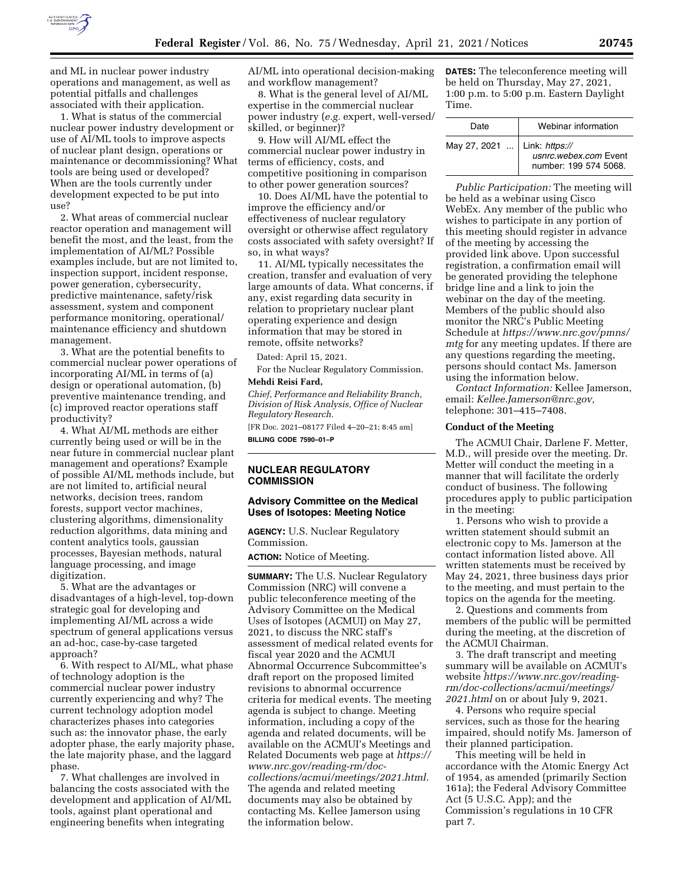

and ML in nuclear power industry operations and management, as well as potential pitfalls and challenges associated with their application.

1. What is status of the commercial nuclear power industry development or use of AI/ML tools to improve aspects of nuclear plant design, operations or maintenance or decommissioning? What tools are being used or developed? When are the tools currently under development expected to be put into use?

2. What areas of commercial nuclear reactor operation and management will benefit the most, and the least, from the implementation of AI/ML? Possible examples include, but are not limited to, inspection support, incident response, power generation, cybersecurity, predictive maintenance, safety/risk assessment, system and component performance monitoring, operational/ maintenance efficiency and shutdown management.

3. What are the potential benefits to commercial nuclear power operations of incorporating AI/ML in terms of (a) design or operational automation, (b) preventive maintenance trending, and (c) improved reactor operations staff productivity?

4. What AI/ML methods are either currently being used or will be in the near future in commercial nuclear plant management and operations? Example of possible AI/ML methods include, but are not limited to, artificial neural networks, decision trees, random forests, support vector machines, clustering algorithms, dimensionality reduction algorithms, data mining and content analytics tools, gaussian processes, Bayesian methods, natural language processing, and image digitization.

5. What are the advantages or disadvantages of a high-level, top-down strategic goal for developing and implementing AI/ML across a wide spectrum of general applications versus an ad-hoc, case-by-case targeted approach?

6. With respect to AI/ML, what phase of technology adoption is the commercial nuclear power industry currently experiencing and why? The current technology adoption model characterizes phases into categories such as: the innovator phase, the early adopter phase, the early majority phase, the late majority phase, and the laggard phase.

7. What challenges are involved in balancing the costs associated with the development and application of AI/ML tools, against plant operational and engineering benefits when integrating

AI/ML into operational decision-making and workflow management?

8. What is the general level of AI/ML expertise in the commercial nuclear power industry (*e.g.* expert, well-versed/ skilled, or beginner)?

9. How will AI/ML effect the commercial nuclear power industry in terms of efficiency, costs, and competitive positioning in comparison to other power generation sources?

10. Does AI/ML have the potential to improve the efficiency and/or effectiveness of nuclear regulatory oversight or otherwise affect regulatory costs associated with safety oversight? If so, in what ways?

11. AI/ML typically necessitates the creation, transfer and evaluation of very large amounts of data. What concerns, if any, exist regarding data security in relation to proprietary nuclear plant operating experience and design information that may be stored in remote, offsite networks?

Dated: April 15, 2021.

For the Nuclear Regulatory Commission. **Mehdi Reisi Fard,** 

*Chief, Performance and Reliability Branch, Division of Risk Analysis, Office of Nuclear Regulatory Research.* 

[FR Doc. 2021–08177 Filed 4–20–21; 8:45 am] **BILLING CODE 7590–01–P** 

# **NUCLEAR REGULATORY COMMISSION**

### **Advisory Committee on the Medical Uses of Isotopes: Meeting Notice**

**AGENCY:** U.S. Nuclear Regulatory Commission.

**ACTION:** Notice of Meeting.

**SUMMARY:** The U.S. Nuclear Regulatory Commission (NRC) will convene a public teleconference meeting of the Advisory Committee on the Medical Uses of Isotopes (ACMUI) on May 27, 2021, to discuss the NRC staff's assessment of medical related events for fiscal year 2020 and the ACMUI Abnormal Occurrence Subcommittee's draft report on the proposed limited revisions to abnormal occurrence criteria for medical events. The meeting agenda is subject to change. Meeting information, including a copy of the agenda and related documents, will be available on the ACMUI's Meetings and Related Documents web page at *[https://](https://www.nrc.gov/reading-rm/doc-collections/acmui/meetings/2021.html)  [www.nrc.gov/reading-rm/doc](https://www.nrc.gov/reading-rm/doc-collections/acmui/meetings/2021.html)[collections/acmui/meetings/2021.html.](https://www.nrc.gov/reading-rm/doc-collections/acmui/meetings/2021.html)*  The agenda and related meeting documents may also be obtained by contacting Ms. Kellee Jamerson using the information below.

**DATES:** The teleconference meeting will be held on Thursday, May 27, 2021, 1:00 p.m. to 5:00 p.m. Eastern Daylight Time.

| Date                           | Webinar information                            |  |
|--------------------------------|------------------------------------------------|--|
| May 27, 2021    Link: https:// | usnrc.webex.com Event<br>number: 199 574 5068. |  |

*Public Participation:* The meeting will be held as a webinar using Cisco WebEx. Any member of the public who wishes to participate in any portion of this meeting should register in advance of the meeting by accessing the provided link above. Upon successful registration, a confirmation email will be generated providing the telephone bridge line and a link to join the webinar on the day of the meeting. Members of the public should also monitor the NRC's Public Meeting Schedule at *[https://www.nrc.gov/pmns/](https://www.nrc.gov/pmns/mtg)  [mtg](https://www.nrc.gov/pmns/mtg)* for any meeting updates. If there are any questions regarding the meeting, persons should contact Ms. Jamerson using the information below.

*Contact Information:* Kellee Jamerson, email: *[Kellee.Jamerson@nrc.gov,](mailto:Kellee.Jamerson@nrc.gov)*  telephone: 301–415–7408.

# **Conduct of the Meeting**

The ACMUI Chair, Darlene F. Metter, M.D., will preside over the meeting. Dr. Metter will conduct the meeting in a manner that will facilitate the orderly conduct of business. The following procedures apply to public participation in the meeting:

1. Persons who wish to provide a written statement should submit an electronic copy to Ms. Jamerson at the contact information listed above. All written statements must be received by May 24, 2021, three business days prior to the meeting, and must pertain to the topics on the agenda for the meeting.

2. Questions and comments from members of the public will be permitted during the meeting, at the discretion of the ACMUI Chairman.

3. The draft transcript and meeting summary will be available on ACMUI's website *[https://www.nrc.gov/reading](https://www.nrc.gov/reading-rm/doc-collections/acmui/meetings/2021.html)[rm/doc-collections/acmui/meetings/](https://www.nrc.gov/reading-rm/doc-collections/acmui/meetings/2021.html)  [2021.html](https://www.nrc.gov/reading-rm/doc-collections/acmui/meetings/2021.html)* on or about July 9, 2021.

4. Persons who require special services, such as those for the hearing impaired, should notify Ms. Jamerson of their planned participation.

This meeting will be held in accordance with the Atomic Energy Act of 1954, as amended (primarily Section 161a); the Federal Advisory Committee Act (5 U.S.C. App); and the Commission's regulations in 10 CFR part 7.